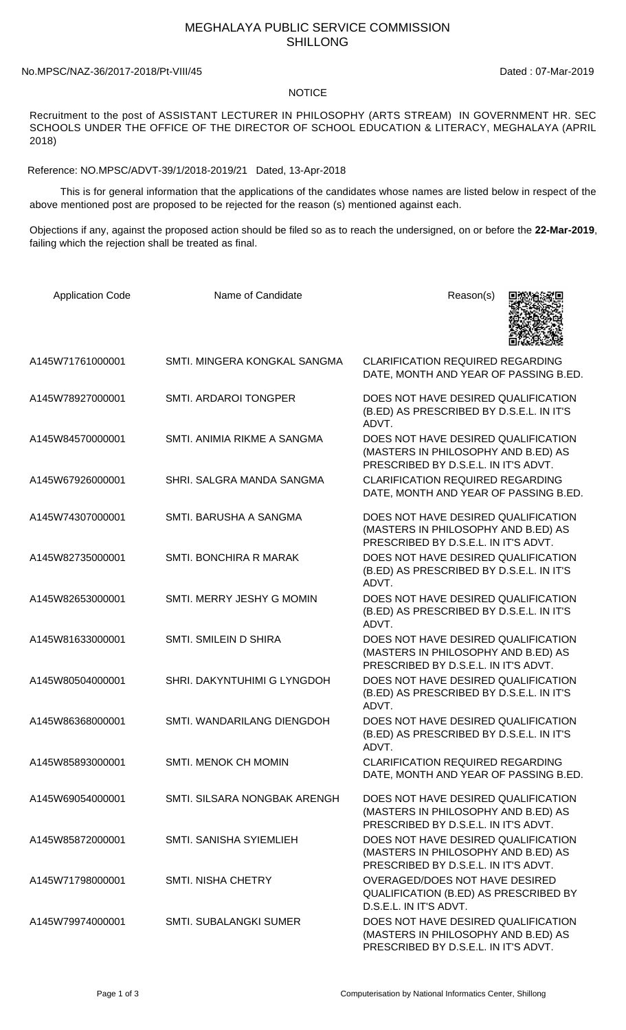## MEGHALAYA PUBLIC SERVICE COMMISSION SHILLONG

## No.MPSC/NAZ-36/2017-2018/Pt-VIII/45 Dated : 07-Mar-2019

## **NOTICE**

Recruitment to the post of ASSISTANT LECTURER IN PHILOSOPHY (ARTS STREAM) IN GOVERNMENT HR. SEC SCHOOLS UNDER THE OFFICE OF THE DIRECTOR OF SCHOOL EDUCATION & LITERACY, MEGHALAYA (APRIL 2018)

Reference: NO.MPSC/ADVT-39/1/2018-2019/21 Dated, 13-Apr-2018

 This is for general information that the applications of the candidates whose names are listed below in respect of the above mentioned post are proposed to be rejected for the reason (s) mentioned against each.

Objections if any, against the proposed action should be filed so as to reach the undersigned, on or before the **22-Mar-2019**, failing which the rejection shall be treated as final.

| <b>Application Code</b> | Name of Candidate             | Reason(s)                                                                                                          |
|-------------------------|-------------------------------|--------------------------------------------------------------------------------------------------------------------|
| A145W71761000001        | SMTI. MINGERA KONGKAL SANGMA  | <b>CLARIFICATION REQUIRED REGARDING</b><br>DATE, MONTH AND YEAR OF PASSING B.ED.                                   |
| A145W78927000001        | <b>SMTI. ARDAROI TONGPER</b>  | DOES NOT HAVE DESIRED QUALIFICATION<br>(B.ED) AS PRESCRIBED BY D.S.E.L. IN IT'S<br>ADVT.                           |
| A145W84570000001        | SMTI. ANIMIA RIKME A SANGMA   | DOES NOT HAVE DESIRED QUALIFICATION<br>(MASTERS IN PHILOSOPHY AND B.ED) AS<br>PRESCRIBED BY D.S.E.L. IN IT'S ADVT. |
| A145W67926000001        | SHRI. SALGRA MANDA SANGMA     | <b>CLARIFICATION REQUIRED REGARDING</b><br>DATE, MONTH AND YEAR OF PASSING B.ED.                                   |
| A145W74307000001        | SMTI. BARUSHA A SANGMA        | DOES NOT HAVE DESIRED QUALIFICATION<br>(MASTERS IN PHILOSOPHY AND B.ED) AS<br>PRESCRIBED BY D.S.E.L. IN IT'S ADVT. |
| A145W82735000001        | SMTI. BONCHIRA R MARAK        | DOES NOT HAVE DESIRED QUALIFICATION<br>(B.ED) AS PRESCRIBED BY D.S.E.L. IN IT'S<br>ADVT.                           |
| A145W82653000001        | SMTI. MERRY JESHY G MOMIN     | DOES NOT HAVE DESIRED QUALIFICATION<br>(B.ED) AS PRESCRIBED BY D.S.E.L. IN IT'S<br>ADVT.                           |
| A145W81633000001        | SMTI, SMILEIN D SHIRA         | DOES NOT HAVE DESIRED QUALIFICATION<br>(MASTERS IN PHILOSOPHY AND B.ED) AS<br>PRESCRIBED BY D.S.E.L. IN IT'S ADVT. |
| A145W80504000001        | SHRI. DAKYNTUHIMI G LYNGDOH   | DOES NOT HAVE DESIRED QUALIFICATION<br>(B.ED) AS PRESCRIBED BY D.S.E.L. IN IT'S<br>ADVT.                           |
| A145W86368000001        | SMTI. WANDARILANG DIENGDOH    | DOES NOT HAVE DESIRED QUALIFICATION<br>(B.ED) AS PRESCRIBED BY D.S.E.L. IN IT'S<br>ADVT.                           |
| A145W85893000001        | <b>SMTI. MENOK CH MOMIN</b>   | <b>CLARIFICATION REQUIRED REGARDING</b><br>DATE, MONTH AND YEAR OF PASSING B.ED.                                   |
| A145W69054000001        | SMTI. SILSARA NONGBAK ARENGH  | DOES NOT HAVE DESIRED QUALIFICATION<br>(MASTERS IN PHILOSOPHY AND B.ED) AS<br>PRESCRIBED BY D.S.E.L. IN IT'S ADVT. |
| A145W85872000001        | SMTI. SANISHA SYIEMLIEH       | DOES NOT HAVE DESIRED QUALIFICATION<br>(MASTERS IN PHILOSOPHY AND B.ED) AS<br>PRESCRIBED BY D.S.E.L. IN IT'S ADVT. |
| A145W71798000001        | <b>SMTI. NISHA CHETRY</b>     | OVERAGED/DOES NOT HAVE DESIRED<br>QUALIFICATION (B.ED) AS PRESCRIBED BY<br>D.S.E.L. IN IT'S ADVT.                  |
| A145W79974000001        | <b>SMTI. SUBALANGKI SUMER</b> | DOES NOT HAVE DESIRED QUALIFICATION<br>(MASTERS IN PHILOSOPHY AND B.ED) AS<br>PRESCRIBED BY D.S.E.L. IN IT'S ADVT. |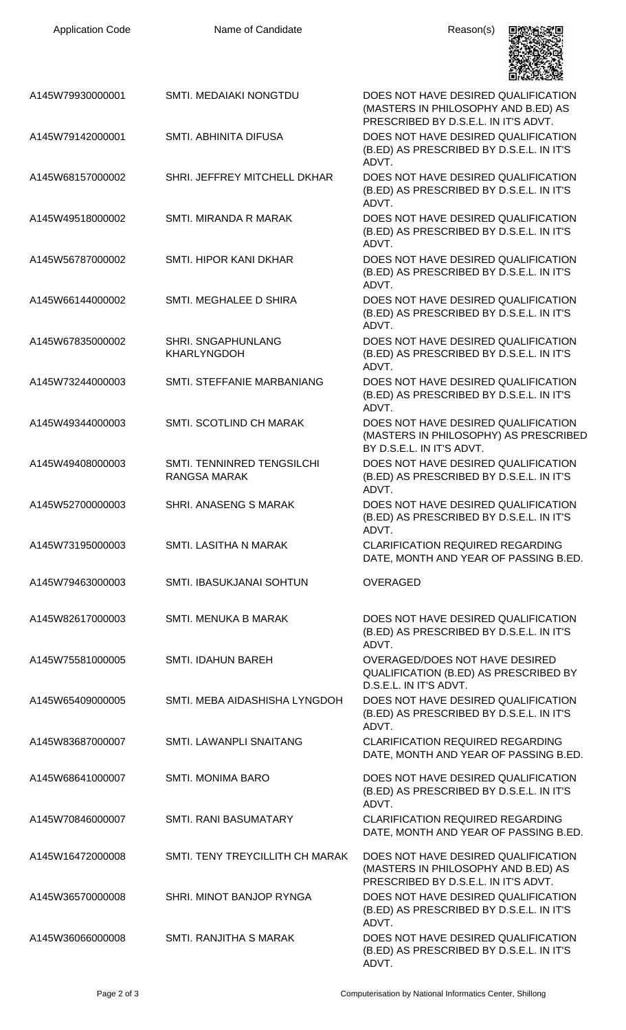| <b>Application Code</b> | Name of Candidate                          | Reason(s)                                                                                                          |
|-------------------------|--------------------------------------------|--------------------------------------------------------------------------------------------------------------------|
| A145W79930000001        | <b>SMTI. MEDAIAKI NONGTDU</b>              | DOES NOT HAVE DESIRED QUALIFICATION<br>(MASTERS IN PHILOSOPHY AND B.ED) AS<br>PRESCRIBED BY D.S.E.L. IN IT'S ADVT. |
| A145W79142000001        | SMTI. ABHINITA DIFUSA                      | DOES NOT HAVE DESIRED QUALIFICATION<br>(B.ED) AS PRESCRIBED BY D.S.E.L. IN IT'S<br>ADVT.                           |
| A145W68157000002        | SHRI. JEFFREY MITCHELL DKHAR               | DOES NOT HAVE DESIRED QUALIFICATION<br>(B.ED) AS PRESCRIBED BY D.S.E.L. IN IT'S<br>ADVT.                           |
| A145W49518000002        | SMTI. MIRANDA R MARAK                      | DOES NOT HAVE DESIRED QUALIFICATION<br>(B.ED) AS PRESCRIBED BY D.S.E.L. IN IT'S<br>ADVT.                           |
| A145W56787000002        | SMTI. HIPOR KANI DKHAR                     | DOES NOT HAVE DESIRED QUALIFICATION<br>(B.ED) AS PRESCRIBED BY D.S.E.L. IN IT'S<br>ADVT.                           |
| A145W66144000002        | SMTI. MEGHALEE D SHIRA                     | DOES NOT HAVE DESIRED QUALIFICATION<br>(B.ED) AS PRESCRIBED BY D.S.E.L. IN IT'S<br>ADVT.                           |
| A145W67835000002        | SHRI. SNGAPHUNLANG<br><b>KHARLYNGDOH</b>   | DOES NOT HAVE DESIRED QUALIFICATION<br>(B.ED) AS PRESCRIBED BY D.S.E.L. IN IT'S<br>ADVT.                           |
| A145W73244000003        | SMTI. STEFFANIE MARBANIANG                 | DOES NOT HAVE DESIRED QUALIFICATION<br>(B.ED) AS PRESCRIBED BY D.S.E.L. IN IT'S<br>ADVT.                           |
| A145W49344000003        | <b>SMTI. SCOTLIND CH MARAK</b>             | DOES NOT HAVE DESIRED QUALIFICATION<br>(MASTERS IN PHILOSOPHY) AS PRESCRIBED<br>BY D.S.E.L. IN IT'S ADVT.          |
| A145W49408000003        | SMTI. TENNINRED TENGSILCHI<br>RANGSA MARAK | DOES NOT HAVE DESIRED QUALIFICATION<br>(B.ED) AS PRESCRIBED BY D.S.E.L. IN IT'S<br>ADVT.                           |
| A145W52700000003        | SHRI. ANASENG S MARAK                      | DOES NOT HAVE DESIRED QUALIFICATION<br>(B.ED) AS PRESCRIBED BY D.S.E.L. IN IT'S<br>ADVT.                           |
| A145W73195000003        | <b>SMTI. LASITHA N MARAK</b>               | <b>CLARIFICATION REQUIRED REGARDING</b><br>DATE, MONTH AND YEAR OF PASSING B.ED.                                   |
| A145W79463000003        | SMTI. IBASUKJANAI SOHTUN                   | <b>OVERAGED</b>                                                                                                    |
| A145W82617000003        | <b>SMTI. MENUKA B MARAK</b>                | DOES NOT HAVE DESIRED QUALIFICATION<br>(B.ED) AS PRESCRIBED BY D.S.E.L. IN IT'S<br>ADVT.                           |
| A145W75581000005        | <b>SMTI. IDAHUN BAREH</b>                  | OVERAGED/DOES NOT HAVE DESIRED<br>QUALIFICATION (B.ED) AS PRESCRIBED BY<br>D.S.E.L. IN IT'S ADVT.                  |
| A145W65409000005        | SMTI. MEBA AIDASHISHA LYNGDOH              | DOES NOT HAVE DESIRED QUALIFICATION<br>(B.ED) AS PRESCRIBED BY D.S.E.L. IN IT'S<br>ADVT.                           |
| A145W83687000007        | SMTI. LAWANPLI SNAITANG                    | <b>CLARIFICATION REQUIRED REGARDING</b><br>DATE, MONTH AND YEAR OF PASSING B.ED.                                   |
| A145W68641000007        | <b>SMTI. MONIMA BARO</b>                   | DOES NOT HAVE DESIRED QUALIFICATION<br>(B.ED) AS PRESCRIBED BY D.S.E.L. IN IT'S<br>ADVT.                           |
| A145W70846000007        | <b>SMTI. RANI BASUMATARY</b>               | <b>CLARIFICATION REQUIRED REGARDING</b><br>DATE, MONTH AND YEAR OF PASSING B.ED.                                   |
| A145W16472000008        | SMTI. TENY TREYCILLITH CH MARAK            | DOES NOT HAVE DESIRED QUALIFICATION<br>(MASTERS IN PHILOSOPHY AND B.ED) AS<br>PRESCRIBED BY D.S.E.L. IN IT'S ADVT. |
| A145W36570000008        | SHRI. MINOT BANJOP RYNGA                   | DOES NOT HAVE DESIRED QUALIFICATION<br>(B.ED) AS PRESCRIBED BY D.S.E.L. IN IT'S<br>ADVT.                           |
| A145W36066000008        | SMTI. RANJITHA S MARAK                     | DOES NOT HAVE DESIRED QUALIFICATION<br>(B.ED) AS PRESCRIBED BY D.S.E.L. IN IT'S                                    |

ADVT.